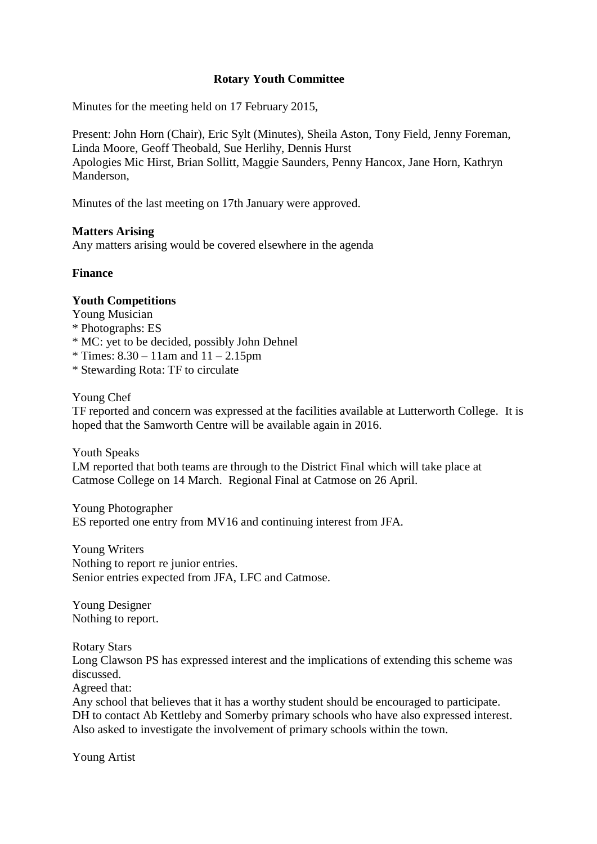## **Rotary Youth Committee**

Minutes for the meeting held on 17 February 2015,

Present: John Horn (Chair), Eric Sylt (Minutes), Sheila Aston, Tony Field, Jenny Foreman, Linda Moore, Geoff Theobald, Sue Herlihy, Dennis Hurst Apologies Mic Hirst, Brian Sollitt, Maggie Saunders, Penny Hancox, Jane Horn, Kathryn Manderson,

Minutes of the last meeting on 17th January were approved.

## **Matters Arising**

Any matters arising would be covered elsewhere in the agenda

## **Finance**

## **Youth Competitions**

Young Musician

- \* Photographs: ES
- \* MC: yet to be decided, possibly John Dehnel
- $*$  Times:  $8.30 11$ am and  $11 2.15$ pm
- \* Stewarding Rota: TF to circulate

Young Chef

TF reported and concern was expressed at the facilities available at Lutterworth College. It is hoped that the Samworth Centre will be available again in 2016.

Youth Speaks LM reported that both teams are through to the District Final which will take place at Catmose College on 14 March. Regional Final at Catmose on 26 April.

Young Photographer ES reported one entry from MV16 and continuing interest from JFA.

Young Writers Nothing to report re junior entries. Senior entries expected from JFA, LFC and Catmose.

Young Designer Nothing to report.

Rotary Stars

Long Clawson PS has expressed interest and the implications of extending this scheme was discussed.

Agreed that:

Any school that believes that it has a worthy student should be encouraged to participate. DH to contact Ab Kettleby and Somerby primary schools who have also expressed interest. Also asked to investigate the involvement of primary schools within the town.

Young Artist